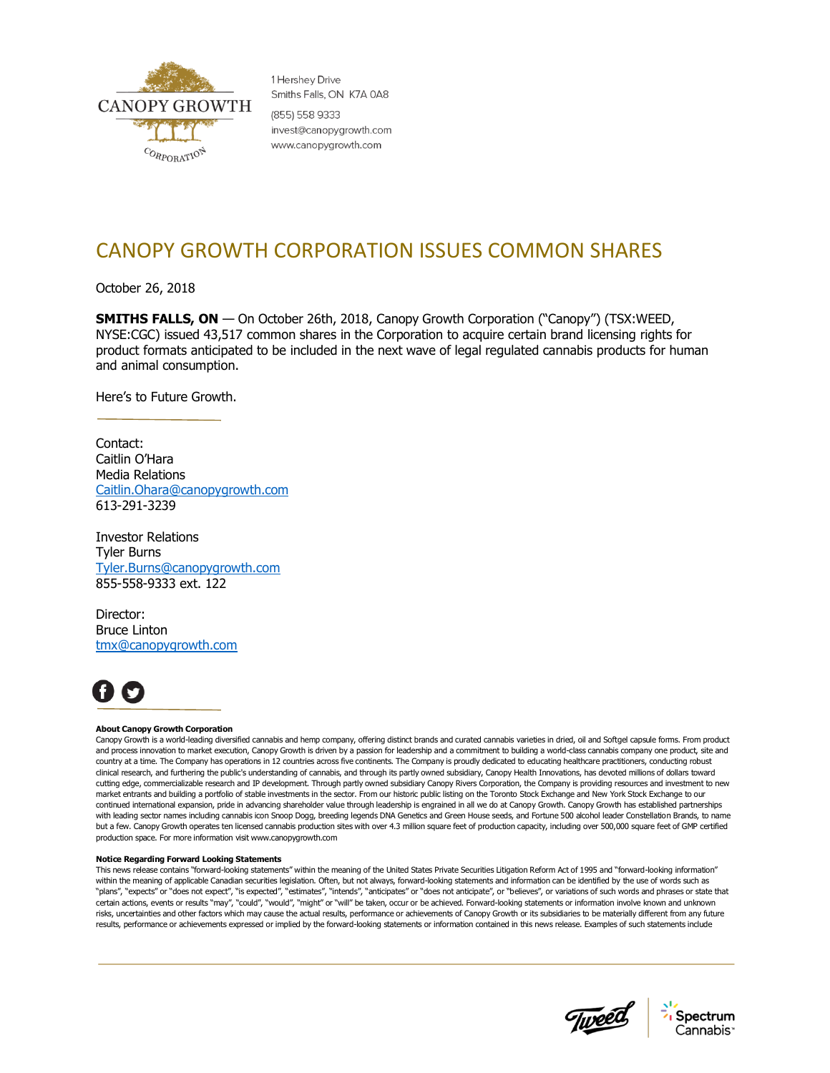

1 Hershev Drive Smiths Falls, ON K7A 0A8 (855) 558 9333 invest@canopygrowth.com www.canopygrowth.com

## CANOPY GROWTH CORPORATION ISSUES COMMON SHARES

October 26, 2018

**SMITHS FALLS, ON** — On October 26th, 2018, Canopy Growth Corporation ("Canopy") (TSX:WEED, NYSE:CGC) issued 43,517 common shares in the Corporation to acquire certain brand licensing rights for product formats anticipated to be included in the next wave of legal regulated cannabis products for human and animal consumption.

Here's to Future Growth.

Contact: Caitlin O'Hara Media Relations [Caitlin.Ohara@canopygrowth.com](mailto:Caitlin.Ohara@canopygrowth.com) 613-291-3239

Investor Relations Tyler Burns [Tyler.Burns@canopygrowth.com](mailto:Tyler.Burns@canopygrowth.com) 855-558-9333 ext. 122

Director: Bruce Linton [tmx@canopygrowth.com](mailto:tmx@tweed.com)



## **About Canopy Growth Corporation**

Canopy Growth is a world-leading diversified cannabis and hemp company, offering distinct brands and curated cannabis varieties in dried, oil and Softgel capsule forms. From product and process innovation to market execution, Canopy Growth is driven by a passion for leadership and a commitment to building a world-class cannabis company one product, site and country at a time. The Company has operations in 12 countries across five continents. The Company is proudly dedicated to educating healthcare practitioners, conducting robust clinical research, and furthering the public's understanding of cannabis, and through its partly owned subsidiary, Canopy Health Innovations, has devoted millions of dollars toward cutting edge, commercializable research and IP development. Through partly owned subsidiary Canopy Rivers Corporation, the Company is providing resources and investment to new market entrants and building a portfolio of stable investments in the sector. From our historic public listing on the Toronto Stock Exchange and New York Stock Exchange to our continued international expansion, pride in advancing shareholder value through leadership is engrained in all we do at Canopy Growth. Canopy Growth has established partnerships with leading sector names including cannabis icon Snoop Dogg, breeding legends DNA Genetics and Green House seeds, and Fortune 500 alcohol leader Constellation Brands, to name but a few. Canopy Growth operates ten licensed cannabis production sites with over 4.3 million square feet of production capacity, including over 500,000 square feet of GMP certified production space. For more information visit www.canopygrowth.com

## **Notice Regarding Forward Looking Statements**

This news release contains "forward-looking statements" within the meaning of the United States Private Securities Litigation Reform Act of 1995 and "forward-looking information" within the meaning of applicable Canadian securities legislation. Often, but not always, forward-looking statements and information can be identified by the use of words such as "plans", "expects" or "does not expect", "is expected", "estimates", "intends", "anticipates" or "does not anticipate", or "believes", or variations of such words and phrases or state that certain actions, events or results "may", "could", "would", "might" or "will" be taken, occur or be achieved. Forward-looking statements or information involve known and unknown risks, uncertainties and other factors which may cause the actual results, performance or achievements of Canopy Growth or its subsidiaries to be materially different from any future results, performance or achievements expressed or implied by the forward-looking statements or information contained in this news release. Examples of such statements include



Spectrum Cannabis